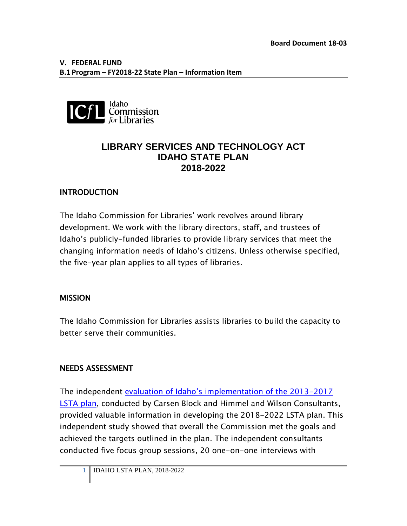

## **LIBRARY SERVICES AND TECHNOLOGY ACT IDAHO STATE PLAN 2018-2022**

## **INTRODUCTION**

The Idaho Commission for Libraries' work revolves around library development. We work with the library directors, staff, and trustees of Idaho's publicly-funded libraries to provide library services that meet the changing information needs of Idaho's citizens. Unless otherwise specified, the five-year plan applies to all types of libraries.

### **MISSION**

The Idaho Commission for Libraries assists libraries to build the capacity to better serve their communities.

### NEEDS ASSESSMENT

The independent [evaluation of Idaho's implementation of the 2013-2017](http://libraries.idaho.gov/files/IDLSTAEvaluationReport2013-2017%20(03%2022%2017).pdf)  [LSTA plan,](http://libraries.idaho.gov/files/IDLSTAEvaluationReport2013-2017%20(03%2022%2017).pdf) conducted by Carsen Block and Himmel and Wilson Consultants, provided valuable information in developing the 2018-2022 LSTA plan. This independent study showed that overall the Commission met the goals and achieved the targets outlined in the plan. The independent consultants conducted five focus group sessions, 20 one-on-one interviews with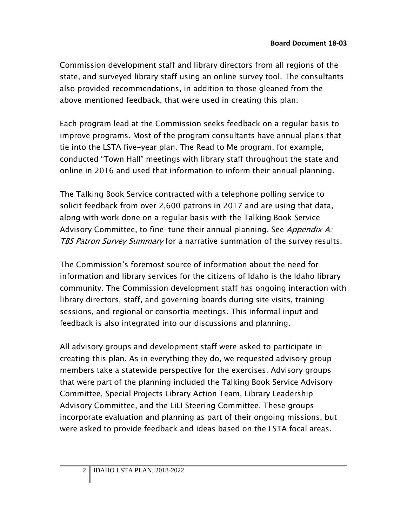Commission development staff and library directors from all regions of the state, and surveyed library staff using an online survey tool. The consultants also provided recommendations, in addition to those gleaned from the above mentioned feedback, that were used in creating this plan.

Each program lead at the Commission seeks feedback on a regular basis to improve programs. Most of the program consultants have annual plans that tie into the LSTA five-year plan. The Read to Me program, for example, conducted "Town Hall" meetings with library staff throughout the state and online in 2016 and used that information to inform their annual planning.

The Talking Book Service contracted with a telephone polling service to solicit feedback from over 2,600 patrons in 2017 and are using that data, along with work done on a regular basis with the Talking Book Service Advisory Committee, to fine-tune their annual planning. See Appendix A: TBS Patron Survey Summary for a narrative summation of the survey results.

The Commission's foremost source of information about the need for information and library services for the citizens of Idaho is the Idaho library community. The Commission development staff has ongoing interaction with library directors, staff, and governing boards during site visits, training sessions, and regional or consortia meetings. This informal input and feedback is also integrated into our discussions and planning.

All advisory groups and development staff were asked to participate in creating this plan. As in everything they do, we requested advisory group members take a statewide perspective for the exercises. Advisory groups that were part of the planning included the Talking Book Service Advisory Committee, Special Projects Library Action Team, Library Leadership Advisory Committee, and the LiLI Steering Committee. These groups incorporate evaluation and planning as part of their ongoing missions, but were asked to provide feedback and ideas based on the LSTA focal areas.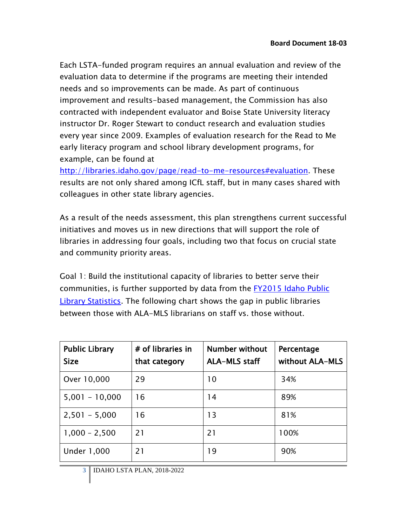Each LSTA-funded program requires an annual evaluation and review of the evaluation data to determine if the programs are meeting their intended needs and so improvements can be made. As part of continuous improvement and results-based management, the Commission has also contracted with independent evaluator and Boise State University literacy instructor Dr. Roger Stewart to conduct research and evaluation studies every year since 2009. Examples of evaluation research for the Read to Me early literacy program and school library development programs, for example, can be found at

[http://libraries.idaho.gov/page/read-to-me-resources#evaluation.](http://libraries.idaho.gov/page/read-to-me-resources#evaluation) These results are not only shared among ICfL staff, but in many cases shared with colleagues in other state library agencies.

As a result of the needs assessment, this plan strengthens current successful initiatives and moves us in new directions that will support the role of libraries in addressing four goals, including two that focus on crucial state and community priority areas.

Goal 1: Build the institutional capacity of libraries to better serve their communities, is further supported by data from the [FY2015 Idaho Public](http://libraries.idaho.gov/files/Final%20Stats%2015.pdf)  [Library Statistics.](http://libraries.idaho.gov/files/Final%20Stats%2015.pdf) The following chart shows the gap in public libraries between those with ALA-MLS librarians on staff vs. those without.

| <b>Public Library</b><br><b>Size</b> | # of libraries in<br>that category | <b>Number without</b><br><b>ALA-MLS staff</b> | Percentage<br>without ALA-MLS |
|--------------------------------------|------------------------------------|-----------------------------------------------|-------------------------------|
| Over 10,000                          | 29                                 | 10                                            | 34%                           |
| $5,001 - 10,000$                     | 16                                 | 14                                            | 89%                           |
| $2,501 - 5,000$                      | 16                                 | 13                                            | 81%                           |
| $1,000 - 2,500$                      | 21                                 | 21                                            | 100%                          |
| <b>Under 1,000</b>                   | 21                                 | 19                                            | 90%                           |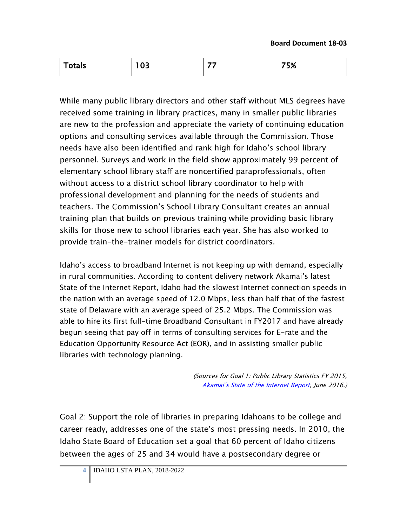| <b>Totals</b> | $\sim$<br>vJ | -- | 75% |
|---------------|--------------|----|-----|
|---------------|--------------|----|-----|

While many public library directors and other staff without MLS degrees have received some training in library practices, many in smaller public libraries are new to the profession and appreciate the variety of continuing education options and consulting services available through the Commission. Those needs have also been identified and rank high for Idaho's school library personnel. Surveys and work in the field show approximately 99 percent of elementary school library staff are noncertified paraprofessionals, often without access to a district school library coordinator to help with professional development and planning for the needs of students and teachers. The Commission's School Library Consultant creates an annual training plan that builds on previous training while providing basic library skills for those new to school libraries each year. She has also worked to provide train-the-trainer models for district coordinators.

Idaho's access to broadband Internet is not keeping up with demand, especially in rural communities. According to content delivery network Akamai's latest State of the Internet Report, Idaho had the slowest Internet connection speeds in the nation with an average speed of 12.0 Mbps, less than half that of the fastest state of Delaware with an average speed of 25.2 Mbps. The Commission was able to hire its first full-time Broadband Consultant in FY2017 and have already begun seeing that pay off in terms of consulting services for E-rate and the Education Opportunity Resource Act (EOR), and in assisting smaller public libraries with technology planning.

> (Sources for Goal 1: Public Library Statistics FY 2015, [Akamai's State of the Internet Report,](https://www.akamai.com/us/en/about/our-thinking/state-of-the-internet-report/) June 2016.)

Goal 2: Support the role of libraries in preparing Idahoans to be college and career ready, addresses one of the state's most pressing needs. In 2010, the Idaho State Board of Education set a goal that 60 percent of Idaho citizens between the ages of 25 and 34 would have a postsecondary degree or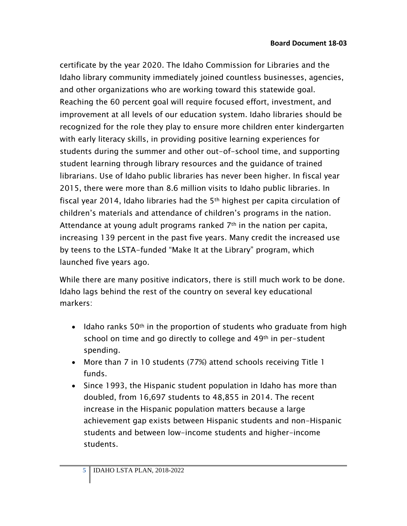certificate by the year 2020. The Idaho Commission for Libraries and the Idaho library community immediately joined countless businesses, agencies, and other organizations who are working toward this statewide goal. Reaching the 60 percent goal will require focused effort, investment, and improvement at all levels of our education system. Idaho libraries should be recognized for the role they play to ensure more children enter kindergarten with early literacy skills, in providing positive learning experiences for students during the summer and other out-of-school time, and supporting student learning through library resources and the guidance of trained librarians. Use of Idaho public libraries has never been higher. In fiscal year 2015, there were more than 8.6 million visits to Idaho public libraries. In fiscal year 2014, Idaho libraries had the 5th highest per capita circulation of children's materials and attendance of children's programs in the nation. Attendance at young adult programs ranked  $7<sup>th</sup>$  in the nation per capita, increasing 139 percent in the past five years. Many credit the increased use by teens to the LSTA-funded "Make It at the Library" program, which launched five years ago.

While there are many positive indicators, there is still much work to be done. Idaho lags behind the rest of the country on several key educational markers:

- Idaho ranks  $50<sup>th</sup>$  in the proportion of students who graduate from high school on time and go directly to college and 49<sup>th</sup> in per-student spending.
- More than 7 in 10 students (77%) attend schools receiving Title 1 funds.
- Since 1993, the Hispanic student population in Idaho has more than doubled, from 16,697 students to 48,855 in 2014. The recent increase in the Hispanic population matters because a large achievement gap exists between Hispanic students and non-Hispanic students and between low-income students and higher-income students.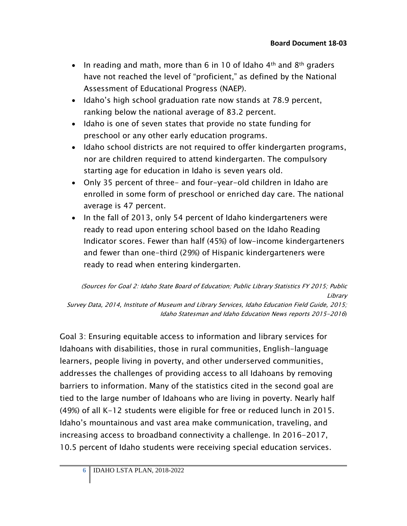- In reading and math, more than 6 in 10 of Idaho  $4<sup>th</sup>$  and  $8<sup>th</sup>$  graders have not reached the level of "proficient," as defined by the National Assessment of Educational Progress (NAEP).
- Idaho's high school graduation rate now stands at 78.9 percent, ranking below the national average of 83.2 percent.
- Idaho is one of seven states that provide no state funding for preschool or any other early education programs.
- Idaho school districts are not required to offer kindergarten programs, nor are children required to attend kindergarten. The compulsory starting age for education in Idaho is seven years old.
- Only 35 percent of three- and four-year-old children in Idaho are enrolled in some form of preschool or enriched day care. The national average is 47 percent.
- In the fall of 2013, only 54 percent of Idaho kindergarteners were ready to read upon entering school based on the Idaho Reading Indicator scores. Fewer than half (45%) of low-income kindergarteners and fewer than one-third (29%) of Hispanic kindergarteners were ready to read when entering kindergarten.

(Sources for Goal 2: Idaho State Board of Education; Public Library Statistics FY 2015; Public Library Survey Data, 2014, Institute of Museum and Library Services, Idaho Education Field Guide, 2015; Idaho Statesman and Idaho Education News reports 2015-2016)

Goal 3: Ensuring equitable access to information and library services for Idahoans with disabilities, those in rural communities, English-language learners, people living in poverty, and other underserved communities, addresses the challenges of providing access to all Idahoans by removing barriers to information. Many of the statistics cited in the second goal are tied to the large number of Idahoans who are living in poverty. Nearly half (49%) of all K-12 students were eligible for free or reduced lunch in 2015. Idaho's mountainous and vast area make communication, traveling, and increasing access to broadband connectivity a challenge. In 2016-2017, 10.5 percent of Idaho students were receiving special education services.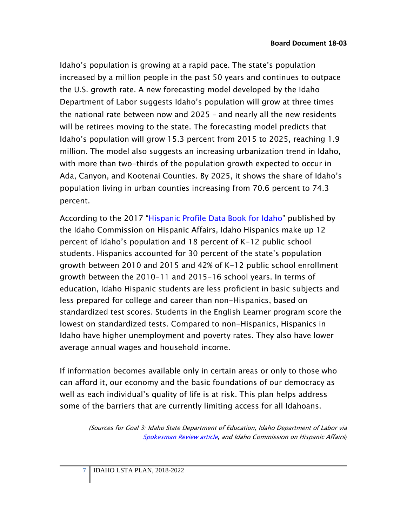Idaho's population is growing at a rapid pace. The state's population increased by a million people in the past 50 years and continues to outpace the U.S. growth rate. A new forecasting model developed by the Idaho Department of Labor suggests Idaho's population will grow at three times the national rate between now and 2025 – and nearly all the new residents will be retirees moving to the state. The forecasting model predicts that Idaho's population will grow 15.3 percent from 2015 to 2025, reaching 1.9 million. The model also suggests an increasing urbanization trend in Idaho, with more than two-thirds of the population growth expected to occur in Ada, Canyon, and Kootenai Counties. By 2025, it shows the share of Idaho's population living in urban counties increasing from 70.6 percent to 74.3 percent.

According to the 2017 ["Hispanic Profile Data Book for Idaho"](https://icha.idaho.gov/docs/Hispanic%20Profile%20Data%20Book%202017%20-%20FINAL%20(2%2023%2017).pdf) published by the Idaho Commission on Hispanic Affairs, Idaho Hispanics make up 12 percent of Idaho's population and 18 percent of K-12 public school students. Hispanics accounted for 30 percent of the state's population growth between 2010 and 2015 and 42% of K-12 public school enrollment growth between the 2010-11 and 2015-16 school years. In terms of education, Idaho Hispanic students are less proficient in basic subjects and less prepared for college and career than non-Hispanics, based on standardized test scores. Students in the English Learner program score the lowest on standardized tests. Compared to non-Hispanics, Hispanics in Idaho have higher unemployment and poverty rates. They also have lower average annual wages and household income.

If information becomes available only in certain areas or only to those who can afford it, our economy and the basic foundations of our democracy as well as each individual's quality of life is at risk. This plan helps address some of the barriers that are currently limiting access for all Idahoans.

> (Sources for Goal 3: Idaho State Department of Education, Idaho Department of Labor via [Spokesman Review article,](http://www.spokesman.com/stories/2017/jun/01/idaho-population-forecast-to-grow-at-three-times-n/) and Idaho Commission on Hispanic Affairs)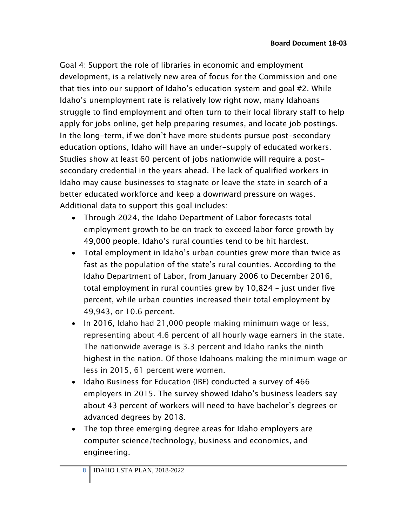Goal 4: Support the role of libraries in economic and employment development, is a relatively new area of focus for the Commission and one that ties into our support of Idaho's education system and goal #2. While Idaho's unemployment rate is relatively low right now, many Idahoans struggle to find employment and often turn to their local library staff to help apply for jobs online, get help preparing resumes, and locate job postings. In the long-term, if we don't have more students pursue post-secondary education options, Idaho will have an under-supply of educated workers. Studies show at least 60 percent of jobs nationwide will require a postsecondary credential in the years ahead. The lack of qualified workers in Idaho may cause businesses to stagnate or leave the state in search of a better educated workforce and keep a downward pressure on wages. Additional data to support this goal includes:

- Through 2024, the Idaho Department of Labor forecasts total employment growth to be on track to exceed labor force growth by 49,000 people. Idaho's rural counties tend to be hit hardest.
- Total employment in Idaho's urban counties grew more than twice as fast as the population of the state's rural counties. According to the Idaho Department of Labor, from January 2006 to December 2016, total employment in rural counties grew by 10,824 – just under five percent, while urban counties increased their total employment by 49,943, or 10.6 percent.
- In 2016, Idaho had 21,000 people making minimum wage or less, representing about 4.6 percent of all hourly wage earners in the state. The nationwide average is 3.3 percent and Idaho ranks the ninth highest in the nation. Of those Idahoans making the minimum wage or less in 2015, 61 percent were women.
- Idaho Business for Education (IBE) conducted a survey of 466 employers in 2015. The survey showed Idaho's business leaders say about 43 percent of workers will need to have bachelor's degrees or advanced degrees by 2018.
- The top three emerging degree areas for Idaho employers are computer science/technology, business and economics, and engineering.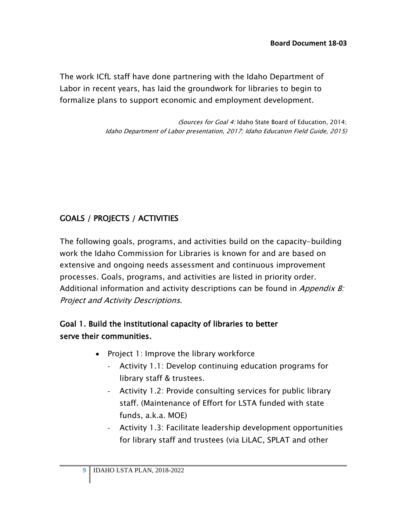The work ICfL staff have done partnering with the Idaho Department of Labor in recent years, has laid the groundwork for libraries to begin to formalize plans to support economic and employment development.

> (Sources for Goal 4: Idaho State Board of Education, 2014; Idaho Department of Labor presentation, 2017; Idaho Education Field Guide, 2015)

# GOALS / PROJECTS / ACTIVITIES

The following goals, programs, and activities build on the capacity-building work the Idaho Commission for Libraries is known for and are based on extensive and ongoing needs assessment and continuous improvement processes. Goals, programs, and activities are listed in priority order. Additional information and activity descriptions can be found in *Appendix B:* Project and Activity Descriptions.

## Goal 1. Build the institutional capacity of libraries to better serve their communities.

- Project 1: Improve the library workforce
	- Activity 1.1: Develop continuing education programs for library staff & trustees.
	- Activity 1.2: Provide consulting services for public library staff. (Maintenance of Effort for LSTA funded with state funds, a.k.a. MOE)
	- Activity 1.3: Facilitate leadership development opportunities for library staff and trustees (via LiLAC, SPLAT and other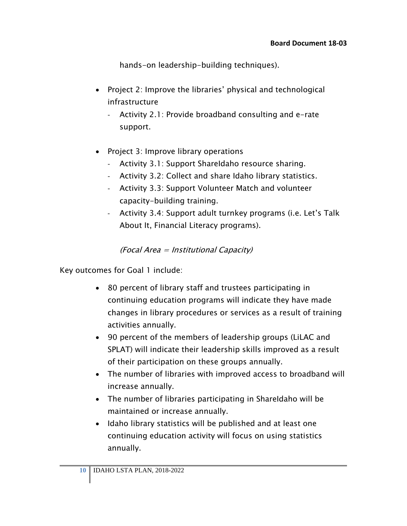hands-on leadership-building techniques).

- Project 2: Improve the libraries' physical and technological infrastructure
	- Activity 2.1: Provide broadband consulting and e-rate support.
- Project 3: Improve library operations
	- Activity 3.1: Support ShareIdaho resource sharing.
	- Activity 3.2: Collect and share Idaho library statistics.
	- Activity 3.3: Support Volunteer Match and volunteer capacity-building training.
	- Activity 3.4: Support adult turnkey programs (i.e. Let's Talk About It, Financial Literacy programs).

#### (Focal Area = Institutional Capacity)

Key outcomes for Goal 1 include:

- 80 percent of library staff and trustees participating in continuing education programs will indicate they have made changes in library procedures or services as a result of training activities annually.
- 90 percent of the members of leadership groups (LiLAC and SPLAT) will indicate their leadership skills improved as a result of their participation on these groups annually.
- The number of libraries with improved access to broadband will increase annually.
- The number of libraries participating in ShareIdaho will be maintained or increase annually.
- Idaho library statistics will be published and at least one continuing education activity will focus on using statistics annually.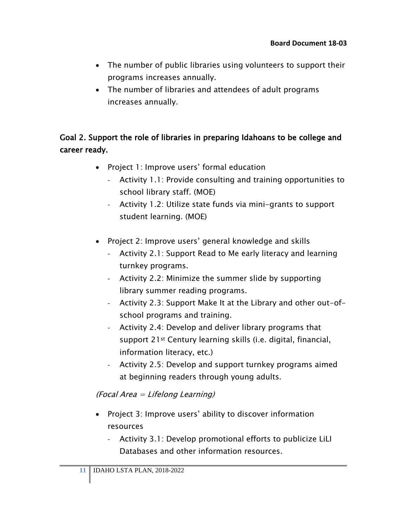- The number of public libraries using volunteers to support their programs increases annually.
- The number of libraries and attendees of adult programs increases annually.

## Goal 2. Support the role of libraries in preparing Idahoans to be college and career ready.

- Project 1: Improve users' formal education
	- Activity 1.1: Provide consulting and training opportunities to school library staff. (MOE)
	- Activity 1.2: Utilize state funds via mini-grants to support student learning. (MOE)
- Project 2: Improve users' general knowledge and skills
	- Activity 2.1: Support Read to Me early literacy and learning turnkey programs.
	- Activity 2.2: Minimize the summer slide by supporting library summer reading programs.
	- Activity 2.3: Support Make It at the Library and other out-ofschool programs and training.
	- Activity 2.4: Develop and deliver library programs that support 21st Century learning skills (i.e. digital, financial, information literacy, etc.)
	- Activity 2.5: Develop and support turnkey programs aimed at beginning readers through young adults.

#### (Focal Area = Lifelong Learning)

- Project 3: Improve users' ability to discover information resources
	- Activity 3.1: Develop promotional efforts to publicize LiLI Databases and other information resources.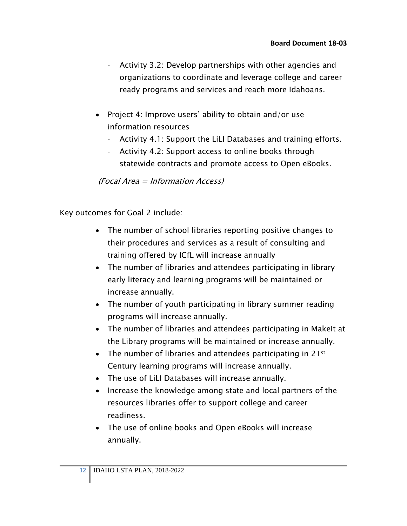- Activity 3.2: Develop partnerships with other agencies and organizations to coordinate and leverage college and career ready programs and services and reach more Idahoans.
- Project 4: Improve users' ability to obtain and/or use information resources
	- Activity 4.1: Support the LiLI Databases and training efforts.
	- Activity 4.2: Support access to online books through statewide contracts and promote access to Open eBooks.

(Focal Area = Information Access)

Key outcomes for Goal 2 include:

- The number of school libraries reporting positive changes to their procedures and services as a result of consulting and training offered by ICfL will increase annually
- The number of libraries and attendees participating in library early literacy and learning programs will be maintained or increase annually.
- The number of youth participating in library summer reading programs will increase annually.
- The number of libraries and attendees participating in Makelt at the Library programs will be maintained or increase annually.
- The number of libraries and attendees participating in 21<sup>st</sup> Century learning programs will increase annually.
- The use of LiLI Databases will increase annually.
- Increase the knowledge among state and local partners of the resources libraries offer to support college and career readiness.
- The use of online books and Open eBooks will increase annually.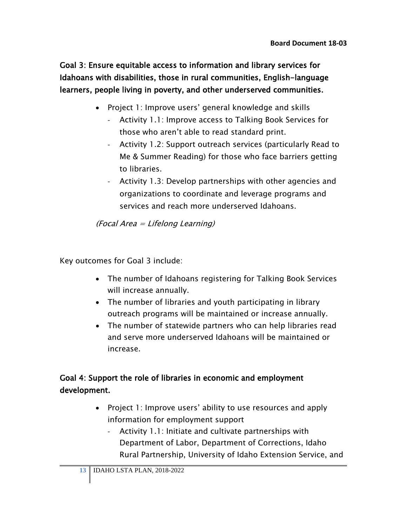Goal 3: Ensure equitable access to information and library services for Idahoans with disabilities, those in rural communities, English-language learners, people living in poverty, and other underserved communities.

- Project 1: Improve users' general knowledge and skills
	- Activity 1.1: Improve access to Talking Book Services for those who aren't able to read standard print.
	- Activity 1.2: Support outreach services (particularly Read to Me & Summer Reading) for those who face barriers getting to libraries.
	- Activity 1.3: Develop partnerships with other agencies and organizations to coordinate and leverage programs and services and reach more underserved Idahoans.

(Focal Area = Lifelong Learning)

Key outcomes for Goal 3 include:

- The number of Idahoans registering for Talking Book Services will increase annually.
- The number of libraries and youth participating in library outreach programs will be maintained or increase annually.
- The number of statewide partners who can help libraries read and serve more underserved Idahoans will be maintained or increase.

## Goal 4: Support the role of libraries in economic and employment development.

- Project 1: Improve users' ability to use resources and apply information for employment support
	- Activity 1.1: Initiate and cultivate partnerships with Department of Labor, Department of Corrections, Idaho Rural Partnership, University of Idaho Extension Service, and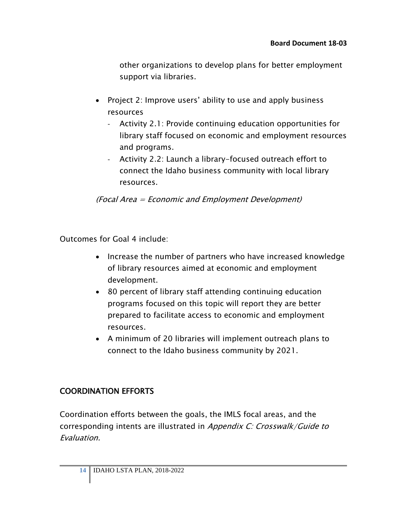other organizations to develop plans for better employment support via libraries.

- Project 2: Improve users' ability to use and apply business resources
	- Activity 2.1: Provide continuing education opportunities for library staff focused on economic and employment resources and programs.
	- Activity 2.2: Launch a library-focused outreach effort to connect the Idaho business community with local library resources.

(Focal Area = Economic and Employment Development)

Outcomes for Goal 4 include:

- Increase the number of partners who have increased knowledge of library resources aimed at economic and employment development.
- 80 percent of library staff attending continuing education programs focused on this topic will report they are better prepared to facilitate access to economic and employment resources.
- A minimum of 20 libraries will implement outreach plans to connect to the Idaho business community by 2021.

### COORDINATION EFFORTS

Coordination efforts between the goals, the IMLS focal areas, and the corresponding intents are illustrated in Appendix C: Crosswalk/Guide to Evaluation.